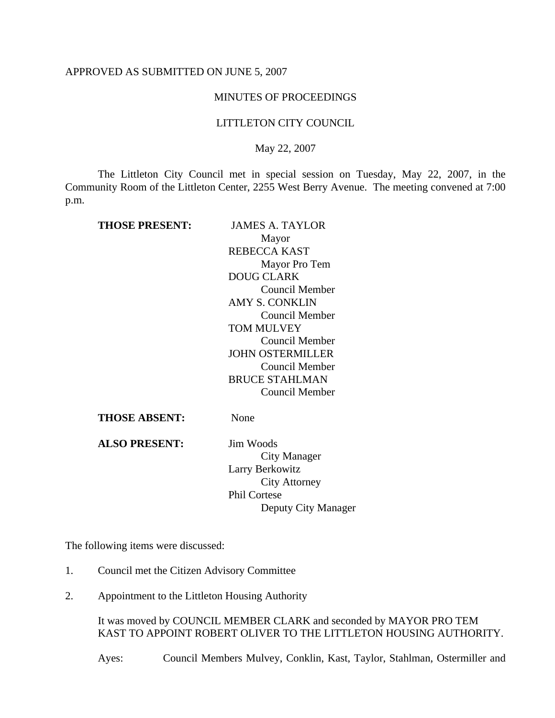## APPROVED AS SUBMITTED ON JUNE 5, 2007

## MINUTES OF PROCEEDINGS

## LITTLETON CITY COUNCIL

May 22, 2007

The Littleton City Council met in special session on Tuesday, May 22, 2007, in the Community Room of the Littleton Center, 2255 West Berry Avenue. The meeting convened at 7:00 p.m.

| <b>THOSE PRESENT:</b> | <b>JAMES A. TAYLOR</b>  |
|-----------------------|-------------------------|
|                       | Mayor                   |
|                       | REBECCA KAST            |
|                       | Mayor Pro Tem           |
|                       | DOUG CLARK              |
|                       | Council Member          |
|                       | <b>AMY S. CONKLIN</b>   |
|                       | Council Member          |
|                       | <b>TOM MULVEY</b>       |
|                       | Council Member          |
|                       | <b>JOHN OSTERMILLER</b> |
|                       | Council Member          |
|                       | <b>BRUCE STAHLMAN</b>   |
|                       | Council Member          |
| THOSE ABSENT:         | None                    |

**ALSO PRESENT:** Jim Woods

City Manager Larry Berkowitz City Attorney Phil Cortese Deputy City Manager

The following items were discussed:

- 1. Council met the Citizen Advisory Committee
- 2. Appointment to the Littleton Housing Authority

It was moved by COUNCIL MEMBER CLARK and seconded by MAYOR PRO TEM KAST TO APPOINT ROBERT OLIVER TO THE LITTLETON HOUSING AUTHORITY.

Ayes: Council Members Mulvey, Conklin, Kast, Taylor, Stahlman, Ostermiller and